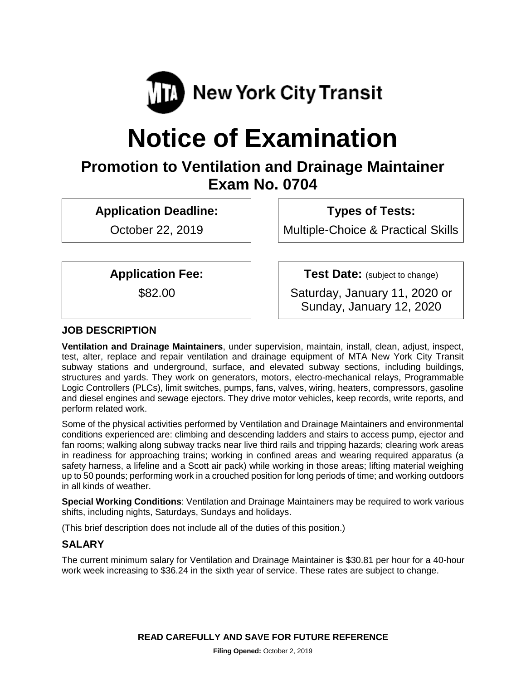

# **Notice of Examination**

# **Promotion to Ventilation and Drainage Maintainer Exam No. 0704**

**Application Deadline:**

October 22, 2019

**Types of Tests:** 

Multiple-Choice & Practical Skills

**Application Fee:**

\$82.00

**Test Date:** (subject to change) Saturday, January 11, 2020 or Sunday, January 12, 2020

# **JOB DESCRIPTION**

**Ventilation and Drainage Maintainers**, under supervision, maintain, install, clean, adjust, inspect, test, alter, replace and repair ventilation and drainage equipment of MTA New York City Transit subway stations and underground, surface, and elevated subway sections, including buildings, structures and yards. They work on generators, motors, electro-mechanical relays, Programmable Logic Controllers (PLCs), limit switches, pumps, fans, valves, wiring, heaters, compressors, gasoline and diesel engines and sewage ejectors. They drive motor vehicles, keep records, write reports, and perform related work.

Some of the physical activities performed by Ventilation and Drainage Maintainers and environmental conditions experienced are: climbing and descending ladders and stairs to access pump, ejector and fan rooms; walking along subway tracks near live third rails and tripping hazards; clearing work areas in readiness for approaching trains; working in confined areas and wearing required apparatus (a safety harness, a lifeline and a Scott air pack) while working in those areas; lifting material weighing up to 50 pounds; performing work in a crouched position for long periods of time; and working outdoors in all kinds of weather.

**Special Working Conditions**: Ventilation and Drainage Maintainers may be required to work various shifts, including nights, Saturdays, Sundays and holidays.

(This brief description does not include all of the duties of this position.)

# **SALARY**

The current minimum salary for Ventilation and Drainage Maintainer is \$30.81 per hour for a 40-hour work week increasing to \$36.24 in the sixth year of service. These rates are subject to change.

**READ CAREFULLY AND SAVE FOR FUTURE REFERENCE**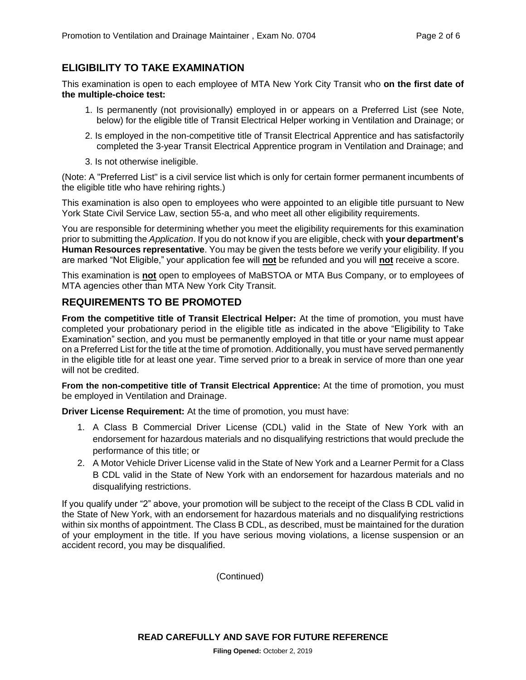# **ELIGIBILITY TO TAKE EXAMINATION**

This examination is open to each employee of MTA New York City Transit who **on the first date of the multiple-choice test:**

- 1. Is permanently (not provisionally) employed in or appears on a Preferred List (see Note, below) for the eligible title of Transit Electrical Helper working in Ventilation and Drainage; or
- 2. Is employed in the non-competitive title of Transit Electrical Apprentice and has satisfactorily completed the 3-year Transit Electrical Apprentice program in Ventilation and Drainage; and
- 3. Is not otherwise ineligible.

(Note: A "Preferred List" is a civil service list which is only for certain former permanent incumbents of the eligible title who have rehiring rights.)

This examination is also open to employees who were appointed to an eligible title pursuant to New York State Civil Service Law, section 55-a, and who meet all other eligibility requirements.

You are responsible for determining whether you meet the eligibility requirements for this examination prior to submitting the *Application*. If you do not know if you are eligible, check with **your department's Human Resources representative**. You may be given the tests before we verify your eligibility. If you are marked "Not Eligible," your application fee will **not** be refunded and you will **not** receive a score.

This examination is **not** open to employees of MaBSTOA or MTA Bus Company, or to employees of MTA agencies other than MTA New York City Transit.

# **REQUIREMENTS TO BE PROMOTED**

**From the competitive title of Transit Electrical Helper:** At the time of promotion, you must have completed your probationary period in the eligible title as indicated in the above "Eligibility to Take Examination" section, and you must be permanently employed in that title or your name must appear on a Preferred List for the title at the time of promotion. Additionally, you must have served permanently in the eligible title for at least one year. Time served prior to a break in service of more than one year will not be credited.

**From the non-competitive title of Transit Electrical Apprentice:** At the time of promotion, you must be employed in Ventilation and Drainage.

**Driver License Requirement:** At the time of promotion, you must have:

- 1. A Class B Commercial Driver License (CDL) valid in the State of New York with an endorsement for hazardous materials and no disqualifying restrictions that would preclude the performance of this title; or
- 2. A Motor Vehicle Driver License valid in the State of New York and a Learner Permit for a Class B CDL valid in the State of New York with an endorsement for hazardous materials and no disqualifying restrictions.

If you qualify under "2" above, your promotion will be subject to the receipt of the Class B CDL valid in the State of New York, with an endorsement for hazardous materials and no disqualifying restrictions within six months of appointment. The Class B CDL, as described, must be maintained for the duration of your employment in the title. If you have serious moving violations, a license suspension or an accident record, you may be disqualified.

(Continued)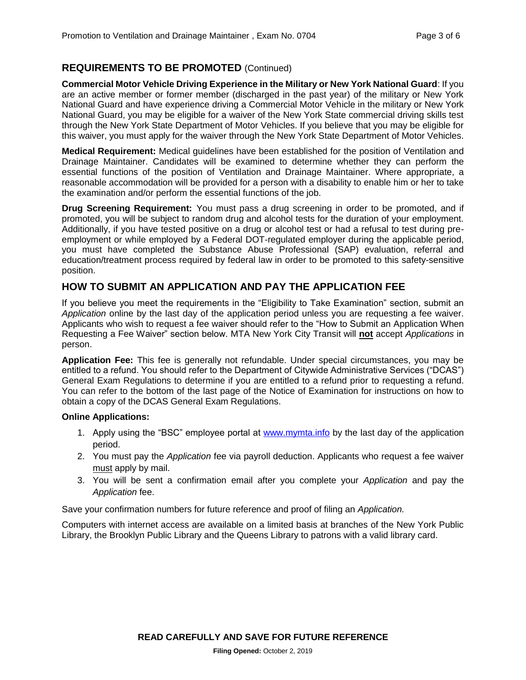# **REQUIREMENTS TO BE PROMOTED** (Continued)

**Commercial Motor Vehicle Driving Experience in the Military or New York National Guard**: If you are an active member or former member (discharged in the past year) of the military or New York National Guard and have experience driving a Commercial Motor Vehicle in the military or New York National Guard, you may be eligible for a waiver of the New York State commercial driving skills test through the New York State Department of Motor Vehicles. If you believe that you may be eligible for this waiver, you must apply for the waiver through the New York State Department of Motor Vehicles.

**Medical Requirement:** Medical guidelines have been established for the position of Ventilation and Drainage Maintainer. Candidates will be examined to determine whether they can perform the essential functions of the position of Ventilation and Drainage Maintainer. Where appropriate, a reasonable accommodation will be provided for a person with a disability to enable him or her to take the examination and/or perform the essential functions of the job.

**Drug Screening Requirement:** You must pass a drug screening in order to be promoted, and if promoted, you will be subject to random drug and alcohol tests for the duration of your employment. Additionally, if you have tested positive on a drug or alcohol test or had a refusal to test during preemployment or while employed by a Federal DOT-regulated employer during the applicable period, you must have completed the Substance Abuse Professional (SAP) evaluation, referral and education/treatment process required by federal law in order to be promoted to this safety-sensitive position.

#### **HOW TO SUBMIT AN APPLICATION AND PAY THE APPLICATION FEE**

If you believe you meet the requirements in the "Eligibility to Take Examination" section, submit an *Application* online by the last day of the application period unless you are requesting a fee waiver. Applicants who wish to request a fee waiver should refer to the "How to Submit an Application When Requesting a Fee Waiver" section below. MTA New York City Transit will **not** accept *Applications* in person.

**Application Fee:** This fee is generally not refundable. Under special circumstances, you may be entitled to a refund. You should refer to the Department of Citywide Administrative Services ("DCAS") General Exam Regulations to determine if you are entitled to a refund prior to requesting a refund. You can refer to the bottom of the last page of the Notice of Examination for instructions on how to obtain a copy of the DCAS General Exam Regulations.

#### **Online Applications:**

- 1. Apply using the "BSC" employee portal at [www.mymta.info](http://www.mymta.info/) by the last day of the application period.
- 2. You must pay the *Application* fee via payroll deduction. Applicants who request a fee waiver must apply by mail.
- 3. You will be sent a confirmation email after you complete your *Application* and pay the *Application* fee.

Save your confirmation numbers for future reference and proof of filing an *Application.*

Computers with internet access are available on a limited basis at branches of the New York Public Library, the Brooklyn Public Library and the Queens Library to patrons with a valid library card.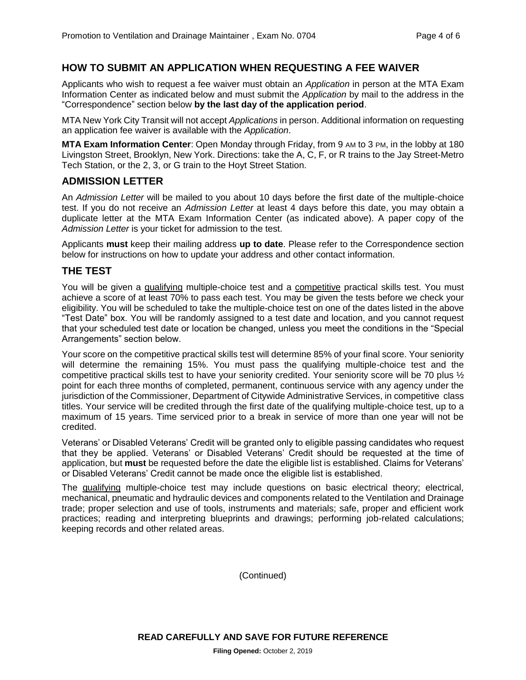#### **HOW TO SUBMIT AN APPLICATION WHEN REQUESTING A FEE WAIVER**

Applicants who wish to request a fee waiver must obtain an *Application* in person at the MTA Exam Information Center as indicated below and must submit the *Application* by mail to the address in the "Correspondence" section below **by the last day of the application period**.

MTA New York City Transit will not accept *Applications* in person. Additional information on requesting an application fee waiver is available with the *Application*.

**MTA Exam Information Center**: Open Monday through Friday, from 9 AM to 3 PM, in the lobby at 180 Livingston Street, Brooklyn, New York. Directions: take the A, C, F, or R trains to the Jay Street-Metro Tech Station, or the 2, 3, or G train to the Hoyt Street Station.

#### **ADMISSION LETTER**

An *Admission Letter* will be mailed to you about 10 days before the first date of the multiple-choice test. If you do not receive an *Admission Letter* at least 4 days before this date, you may obtain a duplicate letter at the MTA Exam Information Center (as indicated above). A paper copy of the *Admission Letter* is your ticket for admission to the test.

Applicants **must** keep their mailing address **up to date**. Please refer to the Correspondence section below for instructions on how to update your address and other contact information.

#### **THE TEST**

You will be given a qualifying multiple-choice test and a competitive practical skills test. You must achieve a score of at least 70% to pass each test. You may be given the tests before we check your eligibility. You will be scheduled to take the multiple-choice test on one of the dates listed in the above "Test Date" box. You will be randomly assigned to a test date and location, and you cannot request that your scheduled test date or location be changed, unless you meet the conditions in the "Special Arrangements" section below.

Your score on the competitive practical skills test will determine 85% of your final score. Your seniority will determine the remaining 15%. You must pass the qualifying multiple-choice test and the competitive practical skills test to have your seniority credited. Your seniority score will be 70 plus ½ point for each three months of completed, permanent, continuous service with any agency under the jurisdiction of the Commissioner, Department of Citywide Administrative Services, in competitive class titles. Your service will be credited through the first date of the qualifying multiple-choice test, up to a maximum of 15 years. Time serviced prior to a break in service of more than one year will not be credited.

Veterans' or Disabled Veterans' Credit will be granted only to eligible passing candidates who request that they be applied. Veterans' or Disabled Veterans' Credit should be requested at the time of application, but **must** be requested before the date the eligible list is established. Claims for Veterans' or Disabled Veterans' Credit cannot be made once the eligible list is established.

The qualifying multiple-choice test may include questions on basic electrical theory; electrical, mechanical, pneumatic and hydraulic devices and components related to the Ventilation and Drainage trade; proper selection and use of tools, instruments and materials; safe, proper and efficient work practices; reading and interpreting blueprints and drawings; performing job-related calculations; keeping records and other related areas.

(Continued)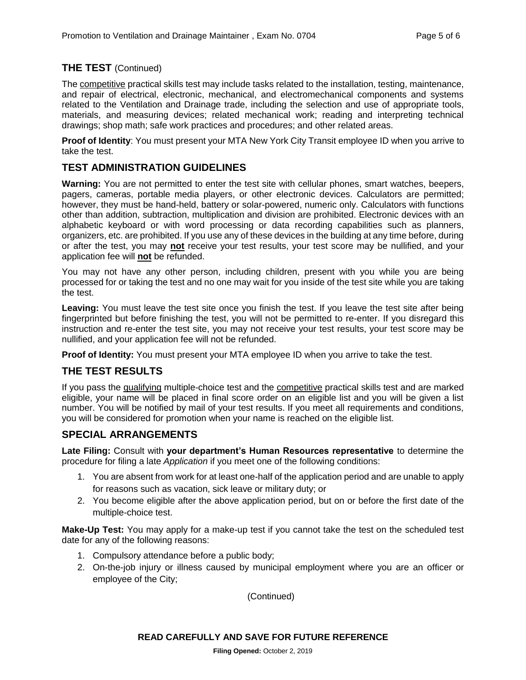#### **THE TEST** (Continued)

The competitive practical skills test may include tasks related to the installation, testing, maintenance, and repair of electrical, electronic, mechanical, and electromechanical components and systems related to the Ventilation and Drainage trade, including the selection and use of appropriate tools, materials, and measuring devices; related mechanical work; reading and interpreting technical drawings; shop math; safe work practices and procedures; and other related areas.

**Proof of Identity**: You must present your MTA New York City Transit employee ID when you arrive to take the test.

#### **TEST ADMINISTRATION GUIDELINES**

**Warning:** You are not permitted to enter the test site with cellular phones, smart watches, beepers, pagers, cameras, portable media players, or other electronic devices. Calculators are permitted; however, they must be hand-held, battery or solar-powered, numeric only. Calculators with functions other than addition, subtraction, multiplication and division are prohibited. Electronic devices with an alphabetic keyboard or with word processing or data recording capabilities such as planners, organizers, etc. are prohibited. If you use any of these devices in the building at any time before, during or after the test, you may **not** receive your test results, your test score may be nullified, and your application fee will **not** be refunded.

You may not have any other person, including children, present with you while you are being processed for or taking the test and no one may wait for you inside of the test site while you are taking the test.

**Leaving:** You must leave the test site once you finish the test. If you leave the test site after being fingerprinted but before finishing the test, you will not be permitted to re-enter. If you disregard this instruction and re-enter the test site, you may not receive your test results, your test score may be nullified, and your application fee will not be refunded.

**Proof of Identity:** You must present your MTA employee ID when you arrive to take the test.

#### **THE TEST RESULTS**

If you pass the qualifying multiple-choice test and the competitive practical skills test and are marked eligible, your name will be placed in final score order on an eligible list and you will be given a list number. You will be notified by mail of your test results. If you meet all requirements and conditions, you will be considered for promotion when your name is reached on the eligible list.

#### **SPECIAL ARRANGEMENTS**

**Late Filing:** Consult with **your department's Human Resources representative** to determine the procedure for filing a late *Application* if you meet one of the following conditions:

- 1. You are absent from work for at least one-half of the application period and are unable to apply for reasons such as vacation, sick leave or military duty; or
- 2. You become eligible after the above application period, but on or before the first date of the multiple-choice test.

**Make-Up Test:** You may apply for a make-up test if you cannot take the test on the scheduled test date for any of the following reasons:

- 1. Compulsory attendance before a public body;
- 2. On-the-job injury or illness caused by municipal employment where you are an officer or employee of the City;

(Continued)